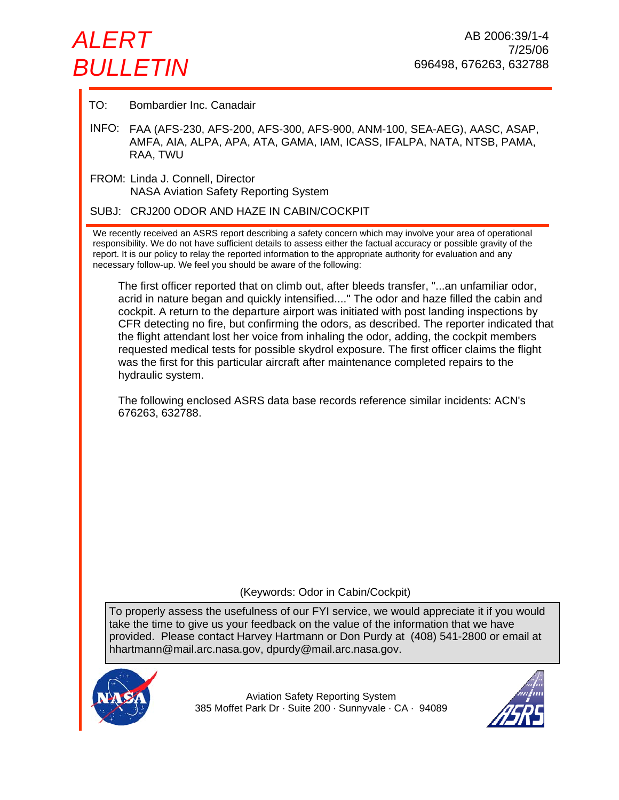# *ALERT BULLETIN*

TO: Bombardier Inc. Canadair

INFO: FAA (AFS-230, AFS-200, AFS-300, AFS-900, ANM-100, SEA-AEG), AASC, ASAP, AMFA, AIA, ALPA, APA, ATA, GAMA, IAM, ICASS, IFALPA, NATA, NTSB, PAMA, RAA, TWU

FROM: Linda J. Connell, Director NASA Aviation Safety Reporting System

SUBJ: CRJ200 ODOR AND HAZE IN CABIN/COCKPIT

We recently received an ASRS report describing a safety concern which may involve your area of operational responsibility. We do not have sufficient details to assess either the factual accuracy or possible gravity of the report. It is our policy to relay the reported information to the appropriate authority for evaluation and any necessary follow-up. We feel you should be aware of the following:

The first officer reported that on climb out, after bleeds transfer, "...an unfamiliar odor, acrid in nature began and quickly intensified...." The odor and haze filled the cabin and cockpit. A return to the departure airport was initiated with post landing inspections by CFR detecting no fire, but confirming the odors, as described. The reporter indicated that the flight attendant lost her voice from inhaling the odor, adding, the cockpit members requested medical tests for possible skydrol exposure. The first officer claims the flight was the first for this particular aircraft after maintenance completed repairs to the hydraulic system.

The following enclosed ASRS data base records reference similar incidents: ACN's 676263, 632788.

(Keywords: Odor in Cabin/Cockpit)

To properly assess the usefulness of our FYI service, we would appreciate it if you would take the time to give us your feedback on the value of the information that we have provided. Please contact Harvey Hartmann or Don Purdy at (408) 541-2800 or email at hhartmann@mail.arc.nasa.gov, dpurdy@mail.arc.nasa.gov.



Aviation Safety Reporting System 385 Moffet Park Dr · Suite 200 · Sunnyvale · CA · 94089

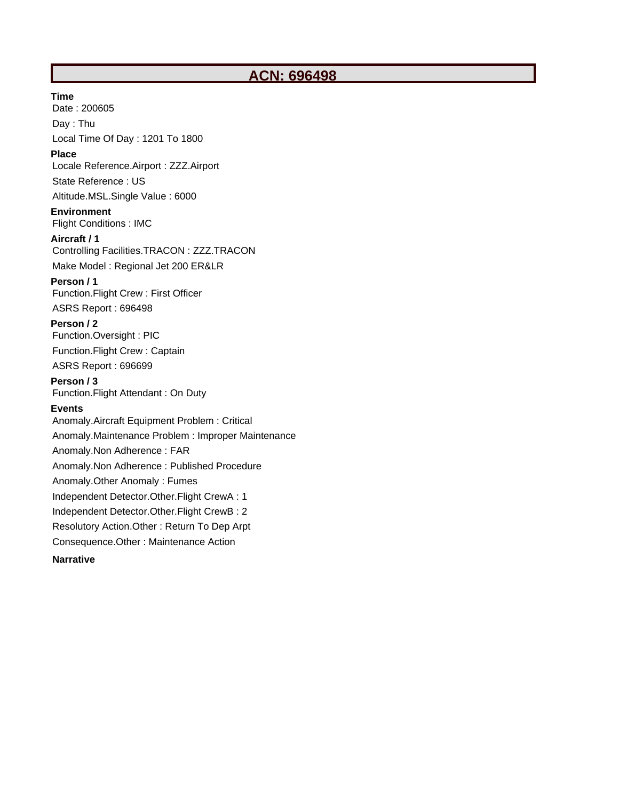# **ACN: 696498**

#### **Time**

Date : 200605 Day : Thu Local Time Of Day : 1201 To 1800

#### **Place**

Locale Reference.Airport : ZZZ.Airport

State Reference : US

Altitude.MSL.Single Value : 6000

**Environment** Flight Conditions : IMC

## **Aircraft / 1**

Controlling Facilities.TRACON : ZZZ.TRACON

Make Model : Regional Jet 200 ER&LR

#### **Person / 1**

Function.Flight Crew : First Officer

ASRS Report : 696498

## **Person / 2**

Function.Oversight : PIC Function.Flight Crew : Captain ASRS Report : 696699

#### **Person / 3**

Function.Flight Attendant : On Duty

#### **Events**

Anomaly.Aircraft Equipment Problem : Critical Anomaly.Maintenance Problem : Improper Maintenance Anomaly.Non Adherence : FAR Anomaly.Non Adherence : Published Procedure Anomaly.Other Anomaly : Fumes Independent Detector.Other.Flight CrewA : 1 Independent Detector.Other.Flight CrewB : 2 Resolutory Action.Other : Return To Dep Arpt Consequence.Other : Maintenance Action

**Narrative**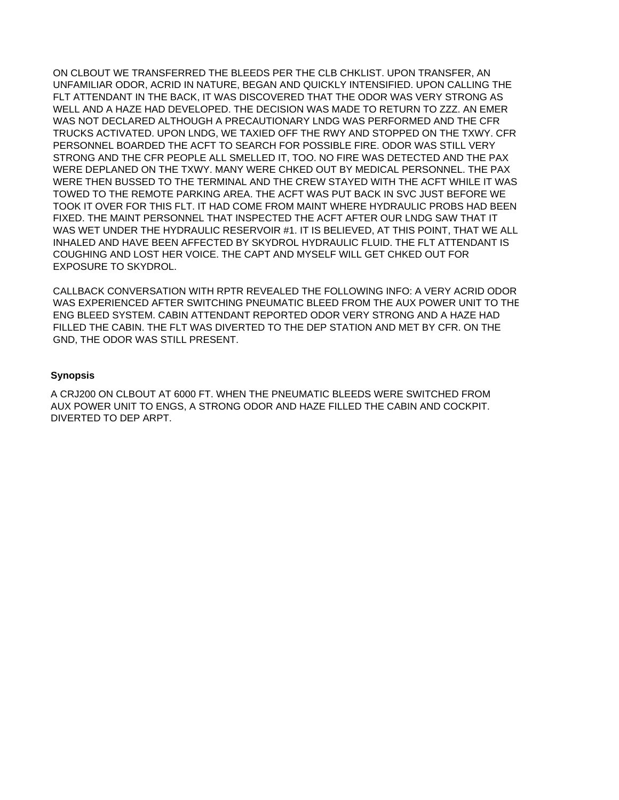ON CLBOUT WE TRANSFERRED THE BLEEDS PER THE CLB CHKLIST. UPON TRANSFER, AN UNFAMILIAR ODOR, ACRID IN NATURE, BEGAN AND QUICKLY INTENSIFIED. UPON CALLING THE FLT ATTENDANT IN THE BACK, IT WAS DISCOVERED THAT THE ODOR WAS VERY STRONG AS WELL AND A HAZE HAD DEVELOPED. THE DECISION WAS MADE TO RETURN TO ZZZ. AN EMER WAS NOT DECLARED ALTHOUGH A PRECAUTIONARY LNDG WAS PERFORMED AND THE CFR TRUCKS ACTIVATED. UPON LNDG, WE TAXIED OFF THE RWY AND STOPPED ON THE TXWY. CFR PERSONNEL BOARDED THE ACFT TO SEARCH FOR POSSIBLE FIRE. ODOR WAS STILL VERY STRONG AND THE CFR PEOPLE ALL SMELLED IT, TOO. NO FIRE WAS DETECTED AND THE PAX WERE DEPLANED ON THE TXWY. MANY WERE CHKED OUT BY MEDICAL PERSONNEL. THE PAX WERE THEN BUSSED TO THE TERMINAL AND THE CREW STAYED WITH THE ACFT WHILE IT WAS TOWED TO THE REMOTE PARKING AREA. THE ACFT WAS PUT BACK IN SVC JUST BEFORE WE TOOK IT OVER FOR THIS FLT. IT HAD COME FROM MAINT WHERE HYDRAULIC PROBS HAD BEEN FIXED. THE MAINT PERSONNEL THAT INSPECTED THE ACFT AFTER OUR LNDG SAW THAT IT WAS WET UNDER THE HYDRAULIC RESERVOIR #1. IT IS BELIEVED, AT THIS POINT, THAT WE ALL INHALED AND HAVE BEEN AFFECTED BY SKYDROL HYDRAULIC FLUID. THE FLT ATTENDANT IS COUGHING AND LOST HER VOICE. THE CAPT AND MYSELF WILL GET CHKED OUT FOR EXPOSURE TO SKYDROL.

CALLBACK CONVERSATION WITH RPTR REVEALED THE FOLLOWING INFO: A VERY ACRID ODOR WAS EXPERIENCED AFTER SWITCHING PNEUMATIC BLEED FROM THE AUX POWER UNIT TO THE ENG BLEED SYSTEM. CABIN ATTENDANT REPORTED ODOR VERY STRONG AND A HAZE HAD FILLED THE CABIN. THE FLT WAS DIVERTED TO THE DEP STATION AND MET BY CFR. ON THE GND, THE ODOR WAS STILL PRESENT.

#### **Synopsis**

A CRJ200 ON CLBOUT AT 6000 FT. WHEN THE PNEUMATIC BLEEDS WERE SWITCHED FROM AUX POWER UNIT TO ENGS, A STRONG ODOR AND HAZE FILLED THE CABIN AND COCKPIT. DIVERTED TO DEP ARPT.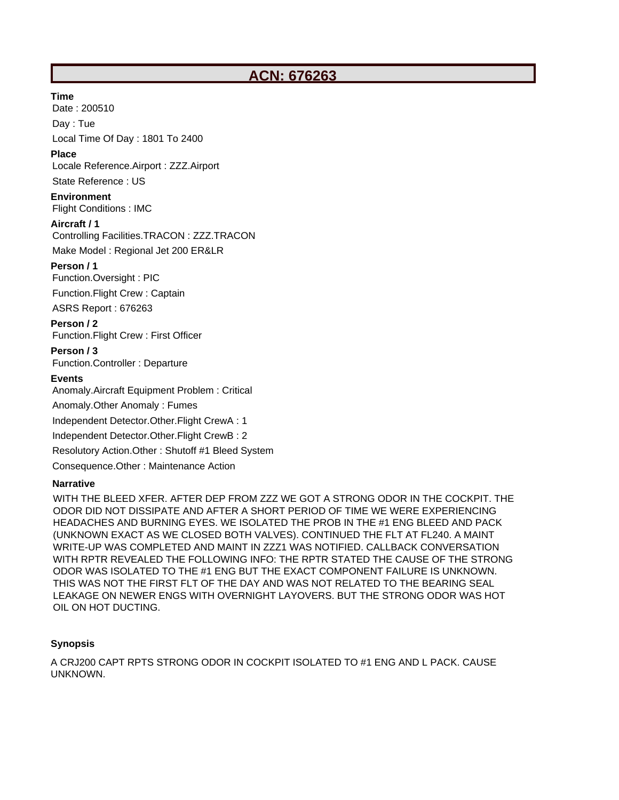# **ACN: 676263**

#### **Time**

Date : 200510

Day : Tue

Local Time Of Day : 1801 To 2400

#### **Place**

Locale Reference.Airport : ZZZ.Airport

# State Reference : US

**Environment** Flight Conditions : IMC

#### **Aircraft / 1**

Controlling Facilities.TRACON : ZZZ.TRACON

Make Model : Regional Jet 200 ER&LR

## **Person / 1**

Function.Oversight : PIC

Function.Flight Crew : Captain

ASRS Report : 676263

## **Person / 2**

Function.Flight Crew : First Officer

# **Person / 3**

Function.Controller : Departure

## **Events**

Anomaly.Aircraft Equipment Problem : Critical

Anomaly.Other Anomaly : Fumes

Independent Detector.Other.Flight CrewA : 1

Independent Detector.Other.Flight CrewB : 2

Resolutory Action.Other : Shutoff #1 Bleed System

Consequence.Other : Maintenance Action

# **Narrative**

WITH THE BLEED XFER. AFTER DEP FROM ZZZ WE GOT A STRONG ODOR IN THE COCKPIT. THE ODOR DID NOT DISSIPATE AND AFTER A SHORT PERIOD OF TIME WE WERE EXPERIENCING HEADACHES AND BURNING EYES. WE ISOLATED THE PROB IN THE #1 ENG BLEED AND PACK (UNKNOWN EXACT AS WE CLOSED BOTH VALVES). CONTINUED THE FLT AT FL240. A MAINT WRITE-UP WAS COMPLETED AND MAINT IN ZZZ1 WAS NOTIFIED. CALLBACK CONVERSATION WITH RPTR REVEALED THE FOLLOWING INFO: THE RPTR STATED THE CAUSE OF THE STRONG ODOR WAS ISOLATED TO THE #1 ENG BUT THE EXACT COMPONENT FAILURE IS UNKNOWN. THIS WAS NOT THE FIRST FLT OF THE DAY AND WAS NOT RELATED TO THE BEARING SEAL LEAKAGE ON NEWER ENGS WITH OVERNIGHT LAYOVERS. BUT THE STRONG ODOR WAS HOT OIL ON HOT DUCTING.

# **Synopsis**

A CRJ200 CAPT RPTS STRONG ODOR IN COCKPIT ISOLATED TO #1 ENG AND L PACK. CAUSE UNKNOWN.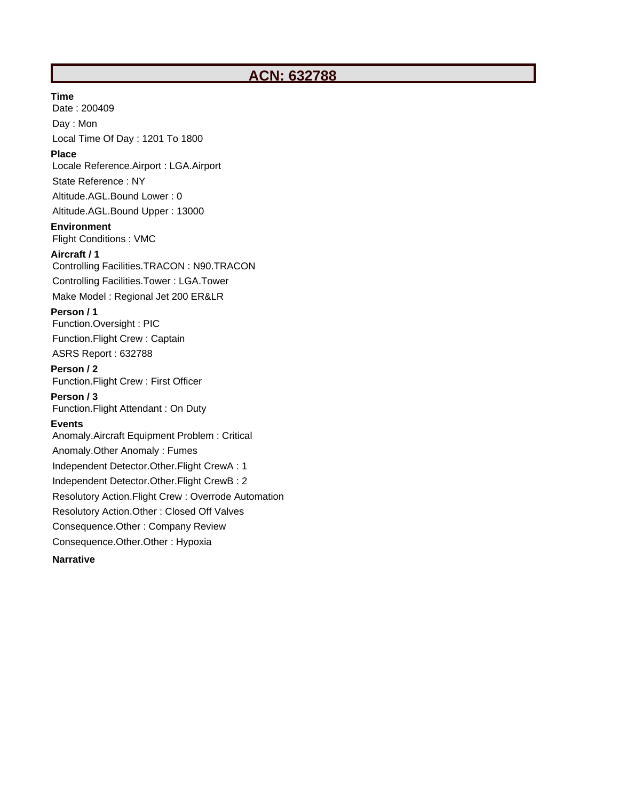# **ACN: 632788**

**Time**

Date : 200409 Day : Mon

Local Time Of Day : 1201 To 1800

#### **Place**

Locale Reference.Airport : LGA.Airport

State Reference : NY

Altitude.AGL.Bound Lower : 0

Altitude.AGL.Bound Upper : 13000

#### **Environment**

Flight Conditions : VMC

#### **Aircraft / 1**

Controlling Facilities.TRACON : N90.TRACON Controlling Facilities.Tower : LGA.Tower

Make Model : Regional Jet 200 ER&LR

#### **Person / 1**

Function.Oversight : PIC Function.Flight Crew : Captain

ASRS Report : 632788

# **Person / 2**

Function.Flight Crew : First Officer **Person / 3**

Function.Flight Attendant : On Duty

#### **Events**

Anomaly.Aircraft Equipment Problem : Critical Anomaly.Other Anomaly : Fumes Independent Detector.Other.Flight CrewA : 1 Independent Detector.Other.Flight CrewB : 2 Resolutory Action.Flight Crew : Overrode Automation Resolutory Action.Other : Closed Off Valves Consequence.Other : Company Review Consequence.Other.Other : Hypoxia

## **Narrative**